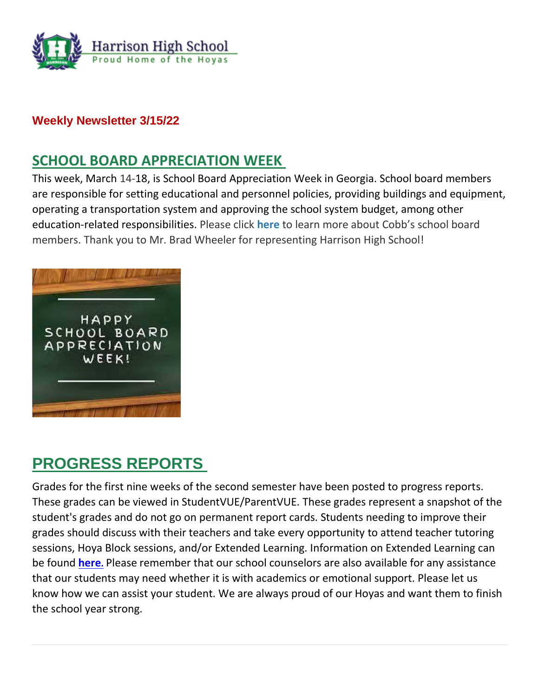

## **Weekly Newsletter 3/15/22**

# **SCHOOL BOARD APPRECIATION WEEK**

This week, March 14-18, is School Board Appreciation Week in Georgia. School board members are responsible for setting educational and personnel policies, providing buildings and equipment, operating a transportation system and approving the school system budget, among other education-related responsibilities. Please click **[here](http://url503.cobbk12.org/ls/click?upn=oq5wnnHoD1NAxpT8rNAGXLeSSs2oqQ-2BhsGA3S2Aoidk2IPlA2x7x0HxGhNovjgKLRAqu_W-2BfLYUoUwwI1tuGClKRhhPOSepcZIFoXnUIMjiA717kQ1i13BNQTwwJ9cl-2BWArXr6-2FDxoCbNFrRaplJKtN7fZ7CCRNki7tp8K6o4TXVsoHx6jfUIPWUPwMNHU-2FPC95LRrmkoBbz78WeO9BHkVI-2FE4m-2BeE46OAi43rFuBJHQv-2FrrC4VtLxu5xJKSFCi2KHc-2Fy2-2BRZLVwuvlOQoCm1N-2FSZ3SpmvYGkUxe84XJJVOiG4VQ6-2FOpx0RzeDzksVTf5vHrAiX0u-2BbO0gij3BifbdTIxOg-3D-3D)** to learn more about Cobb's school board members. Thank you to Mr. Brad Wheeler for representing Harrison High School!



# **PROGRESS REPORTS**

Grades for the first nine weeks of the second semester have been posted to progress reports. These grades can be viewed in StudentVUE/ParentVUE. These grades represent a snapshot of the student's grades and do not go on permanent report cards. Students needing to improve their grades should discuss with their teachers and take every opportunity to attend teacher tutoring sessions, Hoya Block sessions, and/or Extended Learning. Information on Extended Learning can be found **[here](http://url503.cobbk12.org/ls/click?upn=oq5wnnHoD1NAxpT8rNAGXMR1eG7MJW44UQRvGTy3Tsq4eFBJ-2FubUUiGkGz0-2BYxAem9X-2BmBmknreckNUlL6PovvuGPE5t5ESLhhA9TqXXSP0-3Dz7Gt_W-2BfLYUoUwwI1tuGClKRhhPOSepcZIFoXnUIMjiA717kQ1i13BNQTwwJ9cl-2BWArXr6-2FDxoCbNFrRaplJKtN7fZ7CCRNki7tp8K6o4TXVsoHx6jfUIPWUPwMNHU-2FPC95LRJh36UE2diWAZYqNJPCFxBOV6xIWL1M-2F7J8kQNehlW7MBrdu8tJi2BbelakllxIUIpeJ366ubYOmxdsR8hMCji-2B5PnQNFNMv05ejmZ4JvyHxZObx5QHqVLeMjGUuexmSppM9Yyw-2Bgme-2FUNrDkplN-2B-2Bg-3D-3D).** Please remember that our school counselors are also available for any assistance that our students may need whether it is with academics or emotional support. Please let us know how we can assist your student. We are always proud of our Hoyas and want them to finish the school year strong.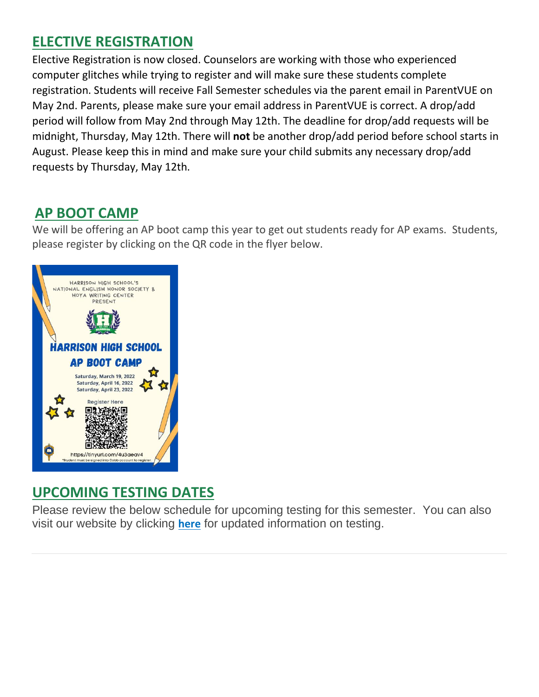# **ELECTIVE REGISTRATION**

Elective Registration is now closed. Counselors are working with those who experienced computer glitches while trying to register and will make sure these students complete registration. Students will receive Fall Semester schedules via the parent email in ParentVUE on May 2nd. Parents, please make sure your email address in ParentVUE is correct. A drop/add period will follow from May 2nd through May 12th. The deadline for drop/add requests will be midnight, Thursday, May 12th. There will **not** be another drop/add period before school starts in August. Please keep this in mind and make sure your child submits any necessary drop/add requests by Thursday, May 12th.

# **AP BOOT CAMP**

We will be offering an AP boot camp this year to get out students ready for AP exams. Students, please register by clicking on the QR code in the flyer below.



# **UPCOMING TESTING DATES**

Please review the below schedule for upcoming testing for this semester. You can also visit our website by clicking **[her](http://url503.cobbk12.org/ls/click?upn=lifxRKNE4qaF4JWLXkbAsjh7ycX9GyI4V6qRbFFivNpp-2B3syQ-2BF1CRoHOrZqfnEtQcfUXEzQ4WYketaNTGV348SK885HARn4hFsQPUpzXyljIvqhTOrFZNMTWBYGN8YGTbsVq49WmIKH0Y0l0i5WIA-3D-3DwVUj_W-2BfLYUoUwwI1tuGClKRhhPOSepcZIFoXnUIMjiA717kQ1i13BNQTwwJ9cl-2BWArXr6-2FDxoCbNFrRaplJKtN7fZ7CCRNki7tp8K6o4TXVsoHx6jfUIPWUPwMNHU-2FPC95LRWlXBiOI-2BSowL4ZigrXCJyBIPB5bv2p0N1L-2BYatiZbMHh38fPU42UOkd6BRZ-2BvPZmciOsDlRnPb8ZoGUjX-2FMol-2Fog1ZV2kT6Pu9V5W0irtJoQPGYmS75BWBokmEhFrnZZgZ7zSU8ZL0zqK1-2B2R3rEpg-3D-3D)[e](http://url503.cobbk12.org/ls/click?upn=lifxRKNE4qaF4JWLXkbAsjh7ycX9GyI4V6qRbFFivNpp-2B3syQ-2BF1CRoHOrZqfnEtQcfUXEzQ4WYketaNTGV348SK885HARn4hFsQPUpzXyljIvqhTOrFZNMTWBYGN8YGTbsVq49WmIKH0Y0l0i5WIA-3D-3DP11G_W-2BfLYUoUwwI1tuGClKRhhPOSepcZIFoXnUIMjiA717kQ1i13BNQTwwJ9cl-2BWArXr6-2FDxoCbNFrRaplJKtN7fZ7CCRNki7tp8K6o4TXVsoHx6jfUIPWUPwMNHU-2FPC95LRixZ3aDF8SIPdwqOZ9MXu3YnKeUajCPjTdpXBH5xznUkoazm3LbjvZCMdIAjCM7MzHK7eUt-2Bn4lNMPtLqp1kKbrhLTXCGZ7zZGP7wUwe-2Fpm7LvB3zy24nCAohq0cadRXjNi6j900-2FhU6JVrdSro2UUQ-3D-3D)** for updated information on testing.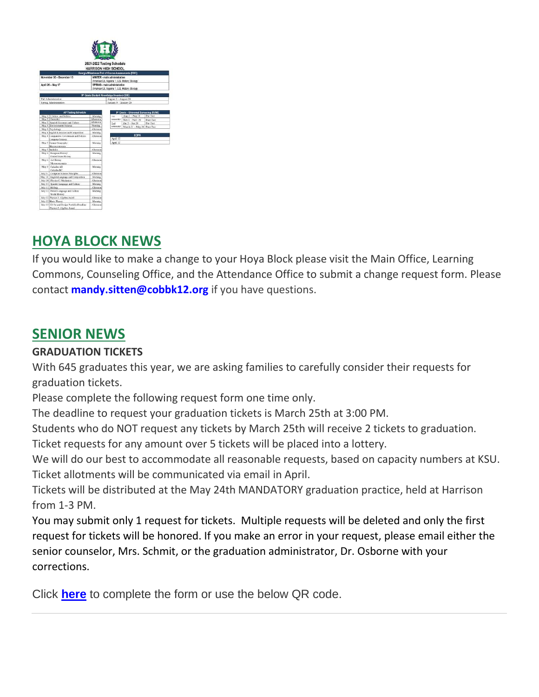

# **HOYA BLOCK NEWS**

If you would like to make a change to your Hoya Block please visit the Main Office, Learning Commons, Counseling Office, and the Attendance Office to submit a change request form. Please contact **[mandy.sitten@cobbk12.org](mailto:mandy.sitten@cobbk12.org)** if you have questions.

# **SENIOR NEWS**

## **GRADUATION TICKETS**

With 645 graduates this year, we are asking families to carefully consider their requests for graduation tickets.

Please complete the following request form one time only.

The deadline to request your graduation tickets is March 25th at 3:00 PM.

Students who do NOT request any tickets by March 25th will receive 2 tickets to graduation.

Ticket requests for any amount over 5 tickets will be placed into a lottery.

We will do our best to accommodate all reasonable requests, based on capacity numbers at KSU. Ticket allotments will be communicated via email in April.

Tickets will be distributed at the May 24th MANDATORY graduation practice, held at Harrison from 1-3 PM.

You may submit only 1 request for tickets. Multiple requests will be deleted and only the first request for tickets will be honored. If you make an error in your request, please email either the senior counselor, Mrs. Schmit, or the graduation administrator, Dr. Osborne with your corrections.

Click **[here](http://url503.cobbk12.org/ls/click?upn=Lr5Kj85exJaDj793QUoDMxoBFqYG9jsvxI4LoJlDFzNbsDN4LTfFuwzDTZVJS3jNjUTN_W-2BfLYUoUwwI1tuGClKRhhPOSepcZIFoXnUIMjiA717kQ1i13BNQTwwJ9cl-2BWArXr6-2FDxoCbNFrRaplJKtN7fZ7CCRNki7tp8K6o4TXVsoHx6jfUIPWUPwMNHU-2FPC95LRyT1pY8IDF7qtvmta4MFOawSak1o1-2FSV0Wd-2BbnuZig5K4KCEwYztSdnzcgjejXzFCrP8HkovL0OrdGoNC0jTqWrzhB4JCqQUvEtXJpG89YRgZZsEuNn2i-2F9JVM4qMBZXbvMTllI643HTxmsMesxHARQ-3D-3D)** to complete the form or use the below QR code.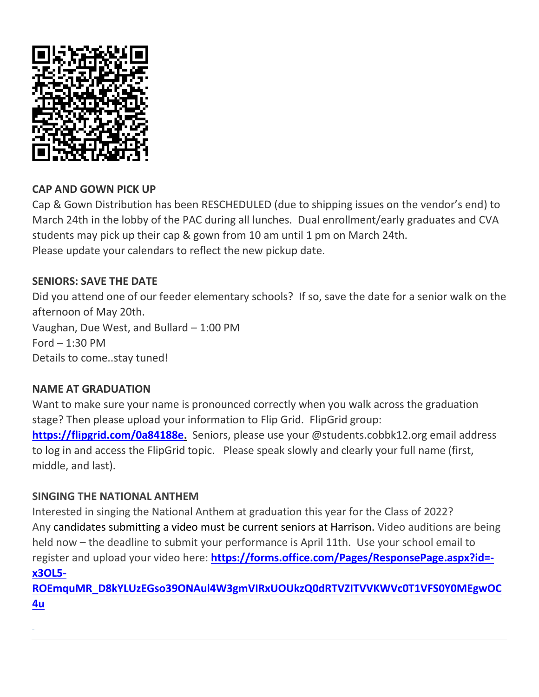

### **CAP AND GOWN PICK UP**

Cap & Gown Distribution has been RESCHEDULED (due to shipping issues on the vendor's end) to March 24th in the lobby of the PAC during all lunches. Dual enrollment/early graduates and CVA students may pick up their cap & gown from 10 am until 1 pm on March 24th. Please update your calendars to reflect the new pickup date.

### **SENIORS: SAVE THE DATE**

Did you attend one of our feeder elementary schools? If so, save the date for a senior walk on the afternoon of May 20th. Vaughan, Due West, and Bullard – 1:00 PM Ford  $-1:30$  PM Details to come..stay tuned!

### **NAME AT GRADUATION**

Want to make sure your name is pronounced correctly when you walk across the graduation stage? Then please upload your information to Flip Grid. FlipGrid group: **[https://flipgrid.com/0a84188e.](https://flipgrid.com/0a84188e)** Seniors, please use your @students.cobbk12.org email address to log in and access the FlipGrid topic. Please speak slowly and clearly your full name (first, middle, and last).

### **SINGING THE NATIONAL ANTHEM**

Interested in singing the National Anthem at graduation this year for the Class of 2022? Any candidates submitting a video must be current seniors at Harrison. Video auditions are being held now – the deadline to submit your performance is April 11th. Use your school email to register and upload your video here: **[https://forms.office.com/Pages/ResponsePage.aspx?id=](http://url503.cobbk12.org/ls/click?upn=Lr5Kj85exJaDj793QUoDMxoBFqYG9jsvxI4LoJlDFzMhUCpXbnVhhqIbIvVR7eDkW2lzE7udnvgKuQAcOzbNvqwOcyAOegilze8a86prJ3c3x-2BVJL5UvmTDm2jdaGPuAhMFqTYCo0C-2FD-2BrkVTc-2Flcew-2BCpADfamT8utW5Yp8xJwOeb80D4MjdM4Mar7mw1lKcGYT_W-2BfLYUoUwwI1tuGClKRhhPOSepcZIFoXnUIMjiA717kQ1i13BNQTwwJ9cl-2BWArXr6-2FDxoCbNFrRaplJKtN7fZ7CCRNki7tp8K6o4TXVsoHx6jfUIPWUPwMNHU-2FPC95LR1uMPA-2B4NRoSfhqyf0Wzf06w-2BvFV5MpeU6hHG-2BFC5TxS0GX-2FbqKOfgvuBjforFBBoHr2n1BhB-2BFvhFdEW1T1hVHYCiTcR0GGo1e4acxSe1ZnwzbLIEv9fB74tiL0Ro3-2B4C4W-2Bod-2FtbAATsu6Gvr0Dow-3D-3D) [x3OL5-](http://url503.cobbk12.org/ls/click?upn=Lr5Kj85exJaDj793QUoDMxoBFqYG9jsvxI4LoJlDFzMhUCpXbnVhhqIbIvVR7eDkW2lzE7udnvgKuQAcOzbNvqwOcyAOegilze8a86prJ3c3x-2BVJL5UvmTDm2jdaGPuAhMFqTYCo0C-2FD-2BrkVTc-2Flcew-2BCpADfamT8utW5Yp8xJwOeb80D4MjdM4Mar7mw1lKcGYT_W-2BfLYUoUwwI1tuGClKRhhPOSepcZIFoXnUIMjiA717kQ1i13BNQTwwJ9cl-2BWArXr6-2FDxoCbNFrRaplJKtN7fZ7CCRNki7tp8K6o4TXVsoHx6jfUIPWUPwMNHU-2FPC95LR1uMPA-2B4NRoSfhqyf0Wzf06w-2BvFV5MpeU6hHG-2BFC5TxS0GX-2FbqKOfgvuBjforFBBoHr2n1BhB-2BFvhFdEW1T1hVHYCiTcR0GGo1e4acxSe1ZnwzbLIEv9fB74tiL0Ro3-2B4C4W-2Bod-2FtbAATsu6Gvr0Dow-3D-3D)**

**[ROEmquMR\\_D8kYLUzEGso39ONAul4W3gmVIRxUOUkzQ0dRTVZITVVKWVc0T1VFS0Y0MEgwOC](http://url503.cobbk12.org/ls/click?upn=Lr5Kj85exJaDj793QUoDMxoBFqYG9jsvxI4LoJlDFzMhUCpXbnVhhqIbIvVR7eDkW2lzE7udnvgKuQAcOzbNvqwOcyAOegilze8a86prJ3c3x-2BVJL5UvmTDm2jdaGPuAhMFqTYCo0C-2FD-2BrkVTc-2Flcew-2BCpADfamT8utW5Yp8xJwOeb80D4MjdM4Mar7mw1lKcGYT_W-2BfLYUoUwwI1tuGClKRhhPOSepcZIFoXnUIMjiA717kQ1i13BNQTwwJ9cl-2BWArXr6-2FDxoCbNFrRaplJKtN7fZ7CCRNki7tp8K6o4TXVsoHx6jfUIPWUPwMNHU-2FPC95LR1uMPA-2B4NRoSfhqyf0Wzf06w-2BvFV5MpeU6hHG-2BFC5TxS0GX-2FbqKOfgvuBjforFBBoHr2n1BhB-2BFvhFdEW1T1hVHYCiTcR0GGo1e4acxSe1ZnwzbLIEv9fB74tiL0Ro3-2B4C4W-2Bod-2FtbAATsu6Gvr0Dow-3D-3D) [4u](http://url503.cobbk12.org/ls/click?upn=Lr5Kj85exJaDj793QUoDMxoBFqYG9jsvxI4LoJlDFzMhUCpXbnVhhqIbIvVR7eDkW2lzE7udnvgKuQAcOzbNvqwOcyAOegilze8a86prJ3c3x-2BVJL5UvmTDm2jdaGPuAhMFqTYCo0C-2FD-2BrkVTc-2Flcew-2BCpADfamT8utW5Yp8xJwOeb80D4MjdM4Mar7mw1lKcGYT_W-2BfLYUoUwwI1tuGClKRhhPOSepcZIFoXnUIMjiA717kQ1i13BNQTwwJ9cl-2BWArXr6-2FDxoCbNFrRaplJKtN7fZ7CCRNki7tp8K6o4TXVsoHx6jfUIPWUPwMNHU-2FPC95LR1uMPA-2B4NRoSfhqyf0Wzf06w-2BvFV5MpeU6hHG-2BFC5TxS0GX-2FbqKOfgvuBjforFBBoHr2n1BhB-2BFvhFdEW1T1hVHYCiTcR0GGo1e4acxSe1ZnwzbLIEv9fB74tiL0Ro3-2B4C4W-2Bod-2FtbAATsu6Gvr0Dow-3D-3D)**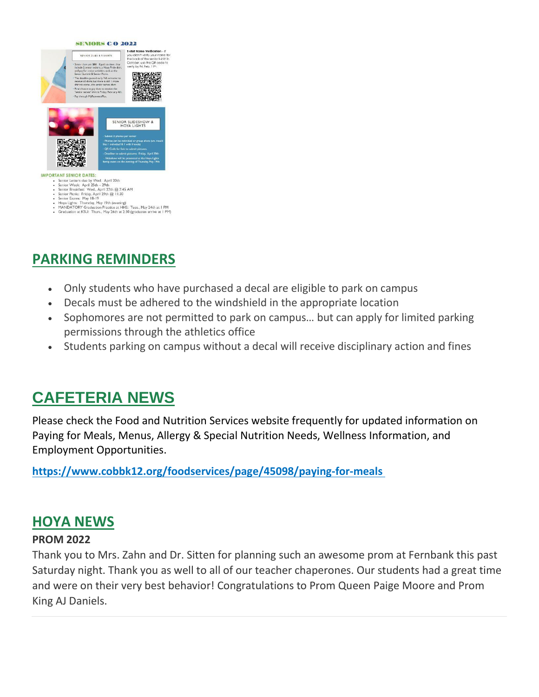#### **SENIORS C/O 2022**



#### **IMPORTANT SENIOR DATES:**

- 
- 
- 
- **AND SCRIVIOR DATES:**<br>Senior Vetels: April 25th<br>Senior Vetels: April 25th<br>Senior Precise April 25th (2011)<br>Senior Precise at Wed., April 27th (@ 7:45 AM<br>Senior Precise Friday, April 29th (@ 11:30<br>Hopa Lights: Thursday, May

# **PARKING REMINDERS**

- Only students who have purchased a decal are eligible to park on campus
- Decals must be adhered to the windshield in the appropriate location
- Sophomores are not permitted to park on campus… but can apply for limited parking permissions through the athletics office
- Students parking on campus without a decal will receive disciplinary action and fines

# **CAFETERIA NEWS**

Please check the Food and Nutrition Services website frequently for updated information on Paying for Meals, Menus, Allergy & Special Nutrition Needs, Wellness Information, and Employment Opportunities.

**[https://www.cobbk12.org/foodservices/page/45098/paying-for-meals](http://url503.cobbk12.org/ls/click?upn=oq5wnnHoD1NAxpT8rNAGXIgEcF6cFUXUYIe-2B8AO3LVyx4t4OJsNWVhu0iEI2j90fBOcAAqhr4f3pHktzPZuYg83p0mcu7zlRbWoKDhAG9jg-3DjwFb_W-2BfLYUoUwwI1tuGClKRhhPOSepcZIFoXnUIMjiA717kQ1i13BNQTwwJ9cl-2BWArXr6-2FDxoCbNFrRaplJKtN7fZ7CCRNki7tp8K6o4TXVsoHx6jfUIPWUPwMNHU-2FPC95LRPy1BH-2BZwEIO0wIvmS2SJ7e1mO7rgaGlO47rzxuxgiylpfQuGC4cgmPhAgDYF3a5aVEfQO-2FBWBG6fm3ygYP5myJOEPflqp3kiyAyfmV98UF3Lbd3YDRo9byNfAktVnh1VuweTmISrG28ls8lvFu0whg-3D-3D)**

## **HOYA NEWS**

#### **PROM 2022**

Thank you to Mrs. Zahn and Dr. Sitten for planning such an awesome prom at Fernbank this past Saturday night. Thank you as well to all of our teacher chaperones. Our students had a great time and were on their very best behavior! Congratulations to Prom Queen Paige Moore and Prom King AJ Daniels.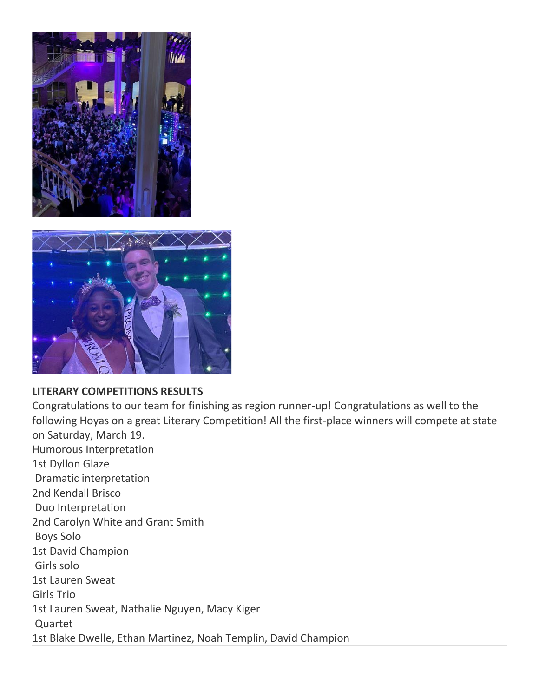



#### **LITERARY COMPETITIONS RESULTS**

Congratulations to our team for finishing as region runner-up! Congratulations as well to the following Hoyas on a great Literary Competition! All the first-place winners will compete at state on Saturday, March 19. Humorous Interpretation 1st Dyllon Glaze Dramatic interpretation 2nd Kendall Brisco Duo Interpretation 2nd Carolyn White and Grant Smith Boys Solo 1st David Champion Girls solo 1st Lauren Sweat Girls Trio 1st Lauren Sweat, Nathalie Nguyen, Macy Kiger Quartet 1st Blake Dwelle, Ethan Martinez, Noah Templin, David Champion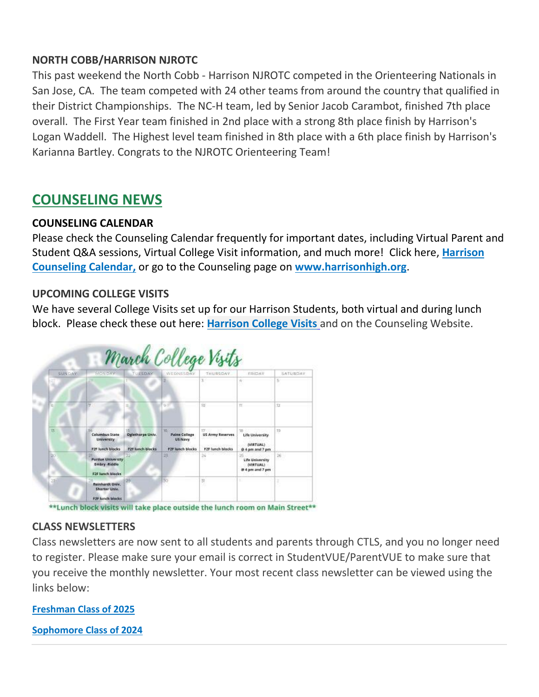### **NORTH COBB/HARRISON NJROTC**

This past weekend the North Cobb - Harrison NJROTC competed in the Orienteering Nationals in San Jose, CA. The team competed with 24 other teams from around the country that qualified in their District Championships. The NC-H team, led by Senior Jacob Carambot, finished 7th place overall. The First Year team finished in 2nd place with a strong 8th place finish by Harrison's Logan Waddell. The Highest level team finished in 8th place with a 6th place finish by Harrison's Karianna Bartley. Congrats to the NJROTC Orienteering Team!

# **COUNSELING NEWS**

### **COUNSELING CALENDAR**

Please check the Counseling Calendar frequently for important dates, including Virtual Parent and Student Q&A sessions, Virtual College Visit information, and much more! Click here, **Harrison Counseling Calendar,** or go to the Counseling page on **[www.harrisonhigh.org](http://url503.cobbk12.org/ls/click?upn=oq5wnnHoD1NAxpT8rNAGXO9pgQjsMrFEdSeXOUfDN1SmFc2KsGzpApGt0h4W-2BnTi3qOMFT0pAhpU4g9jzi2oghIA-2BD5qxCmArcny4yPncCY-3D3UWY_W-2BfLYUoUwwI1tuGClKRhhPOSepcZIFoXnUIMjiA717kQ1i13BNQTwwJ9cl-2BWArXr6-2FDxoCbNFrRaplJKtN7fZ7CCRNki7tp8K6o4TXVsoHx6jfUIPWUPwMNHU-2FPC95LRQfTvaxus7hTHWFhiXbhjKSXwQlim9xfB4R0dgbUj682AkFEGyVB6jwM5ZHjXL4zOtenDRxh0gNiZqU5FTRX1-2BflLUozP1FlnYy9WAYiBMXXgqF7atAvvnN42qCJ6HVGK8Bf8RQiIcvMS51t2LwwoSg-3D-3D)**.

### **UPCOMING COLLEGE VISITS**

We have several College Visits set up for our Harrison Students, both virtual and during lunch block. Please check these out here: **[Harrison College Visits](http://url503.cobbk12.org/ls/click?upn=G8An3K6JlHsR8QtKBFuzdogXPJqD3Uz2QqY8s2OfxygfiXPa-2BLVg3oKWlcUFgjTffPxwSarE77p-2FOfJTl3QvbpgPiFEQheAZA772IpRJMifiqQmDkS-2BKBGjOIoKGjM7QQDhTGARgZvMYUugThyMfc1u3H422O6jO2zhAvrxBFglXp3F6gpegHyc5A3y-2BtXoarMbtV-2FDS2nSwRHJx513wzw-3D-3D31Qv_W-2BfLYUoUwwI1tuGClKRhhPOSepcZIFoXnUIMjiA717kQ1i13BNQTwwJ9cl-2BWArXr6-2FDxoCbNFrRaplJKtN7fZ7CCRNki7tp8K6o4TXVsoHx6jfUIPWUPwMNHU-2FPC95LRUqZzilkcmywRYphwbwCyrOK2hrV7L2Y3Kb3GlbzQdsubYhxBbKk-2FKzDMi3-2F-2BkiYBCHYQOkyPJGGrBolE-2Fx5It0jRtGWhlI0wwtxjoaNiJoU6LBFs7dngpVNsCxto86p4vtoJZhmgE5DvL-2BliR5bP9Q-3D-3D)** [a](http://url503.cobbk12.org/ls/click?upn=G8An3K6JlHsR8QtKBFuzdogXPJqD3Uz2QqY8s2OfxygfiXPa-2BLVg3oKWlcUFgjTffPxwSarE77p-2FOfJTl3QvbpgPiFEQheAZA772IpRJMifiqQmDkS-2BKBGjOIoKGjM7QQDhTGARgZvMYUugThyMfc1u3H422O6jO2zhAvrxBFglXp3F6gpegHyc5A3y-2BtXoarMbtV-2FDS2nSwRHJx513wzw-3D-3Dw8Lb_W-2BfLYUoUwwI1tuGClKRhhPOSepcZIFoXnUIMjiA717kQ1i13BNQTwwJ9cl-2BWArXr6-2FDxoCbNFrRaplJKtN7fZ7CCRNki7tp8K6o4TXVsoHx6jfUIPWUPwMNHU-2FPC95LRsMYpiegHqV3KlQgKvNK7zBVN32ljfBwsOTDoG3eF-2FmFCEZOyB4Ft-2BYWK4hZ0ySdtFgohznGv86OBWRRUzO7zyAUNrW1c3-2FWdsfQ02VqeYWJY3vNHkwZscs-2B480UycamRxDMHFkAieKOVm0Kv0E-2BDZw-3D-3D)nd on the Counseling Website.



\*\* Lunch block visits will take place outside the lunch room on Main Street\*\*

### **CLASS NEWSLETTERS**

Class newsletters are now sent to all students and parents through CTLS, and you no longer need to register. Please make sure your email is correct in StudentVUE/ParentVUE to make sure that you receive the monthly newsletter. Your most recent class newsletter can be viewed using the links below:

**[Freshman Class of 2025](http://url503.cobbk12.org/ls/click?upn=HU5K2q0Fz5ADTGboxPzOzV-2FXL0qE7BYVJk79MoYchrZ53ajsb0iX9IXF6-2FxrILWBti7st-2FroAwljtjbpONXWG5dPH8d4me6En0REb6-2FdFH9STobrkLwu-2BvS-2BFQxW-2F3XJ-m42_W-2BfLYUoUwwI1tuGClKRhhPOSepcZIFoXnUIMjiA717kQ1i13BNQTwwJ9cl-2BWArXr6-2FDxoCbNFrRaplJKtN7fZ7CCRNki7tp8K6o4TXVsoHx6jfUIPWUPwMNHU-2FPC95LRsR-2Fet4n5XvMWYGPcddgHawlxa-2BADzOVGgbPxvq2bShA9sQ-2BD2S-2FMPLD5vPh1cUBlb-2BsQJTwkXZFTTFY6CdhBY2ztEdNDnxwqaa2h6poQAGfq3KqjNfymtz2MSbLF3MDMO53yPyWonKq-2FiDytoGIWtA-3D-3D)**

**[Sophomore Class of 2024](http://url503.cobbk12.org/ls/click?upn=HU5K2q0Fz5ADTGboxPzOzV-2FXL0qE7BYVJk79MoYchrb7GCnaJoKJoPPSn-2BAmTIlHXWAJ3F2sT2upOSxQf1Ihb2GDuOBY8g-2FXu7qfR-2Fqp-2F3KW1nkfNSosf0nsg9BC0rm8Kso0_W-2BfLYUoUwwI1tuGClKRhhPOSepcZIFoXnUIMjiA717kQ1i13BNQTwwJ9cl-2BWArXr6-2FDxoCbNFrRaplJKtN7fZ7CCRNki7tp8K6o4TXVsoHx6jfUIPWUPwMNHU-2FPC95LR9Dot-2FEPAhzWFVirunfWOQx-2F27HX4daWGi4VOEND8Q3zq-2Fi74LhS2M40Ryc3kW-2FHcBb-2FjS7MXPPjkVRqM2-2FMZAkPJ6PDIws8-2F0tGz5F9PClqIG7c3JScD6dc3seYzLjlC8rQtX55aAKRwxuR8FFeP-2FA-3D-3D)**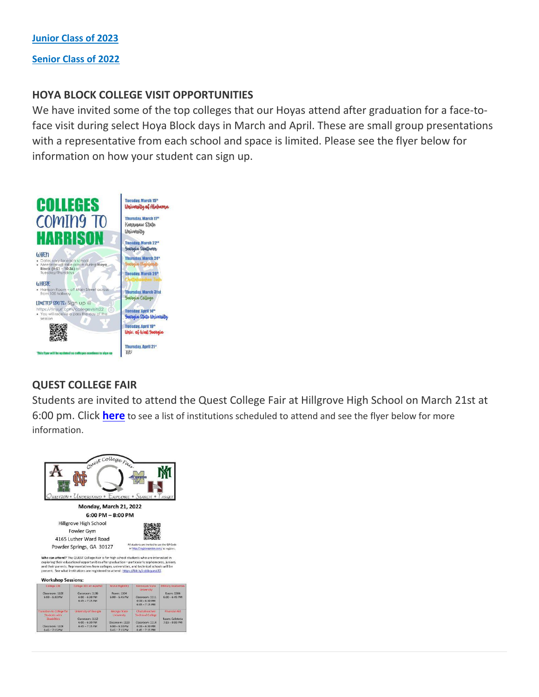**[Junior Class of 2023](http://url503.cobbk12.org/ls/click?upn=HU5K2q0Fz5ADTGboxPzOzV-2FXL0qE7BYVJk79MoYchrbR-2FBxZKrcAByjx2OlGWgpB-2BKS8aHW4sqUIorB96oXr4NyfMrfXAsJWrojBFZVbfrMaQn4-2BWM1Cavfi22ibd7dIX8uv_W-2BfLYUoUwwI1tuGClKRhhPOSepcZIFoXnUIMjiA717kQ1i13BNQTwwJ9cl-2BWArXr6-2FDxoCbNFrRaplJKtN7fZ7CCRNki7tp8K6o4TXVsoHx6jfUIPWUPwMNHU-2FPC95LRbk5UGy0s1-2FiSPGD0R6d1mAt351nsOKo8TwJMcC7mNu4rgi-2BC7X9scCC9KpMTxOpHIg7T-2FogPN9WAHbiH79CPrW-2FGInGuNrwaFa-2BsgYSg0kJTNnrzcf-2BeM9aqjeRfNE9SsBxAlqjZ25tYylXFa5OZ6A-3D-3D) [Senior Class of 2022](http://url503.cobbk12.org/ls/click?upn=HU5K2q0Fz5ADTGboxPzOzV-2FXL0qE7BYVJk79MoYchrZznAj5f3GXrgc7toFDpjjTBa1tX-2BzKpChLQbzOvYboPcS1sApZpDsfGCKlJ9lYn58nv915Nw9p835y8oEzCKpnWiJ9_W-2BfLYUoUwwI1tuGClKRhhPOSepcZIFoXnUIMjiA717kQ1i13BNQTwwJ9cl-2BWArXr6-2FDxoCbNFrRaplJKtN7fZ7CCRNki7tp8K6o4TXVsoHx6jfUIPWUPwMNHU-2FPC95LRKA-2Fr69H-2FryR2tp99GnLwamauj1AWEBRftzsPaQbj2VKkzPQfV3KDtXRmZBeVgfWnI5ZJ4oHsqi8g-2FfAyQNqzzEHPEU0FThnsUjEyUc0xLdrr27ULcxlPjXXRI1c6rS1HCLiEFZHS-2FuecZvPzWStTFA-3D-3D)**

#### **HOYA BLOCK COLLEGE VISIT OPPORTUNITIES**

We have invited some of the top colleges that our Hoyas attend after graduation for a face-toface visit during select Hoya Block days in March and April. These are small group presentations with a representative from each school and space is limited. Please see the flyer below for information on how your student can sign up.



### **QUEST COLLEGE FAIR**

Students are invited to attend the Quest College Fair at Hillgrove High School on March 21st at 6:00 pm. Click **[here](http://url503.cobbk12.org/ls/click?upn=HU5K2q0Fz5ADTGboxPzOza2t9mjy7LfcSicLbJfTXrHug1GP437-2BUsL42BN66y-2BVrdVaqrZ8ffcmchEuBxkCBWjExapByhGXjYaJIJvsAxfcTueZAP-2Bvu-2FfmhFXdLSaAgCEOuvPd7m-2FQ-2BrvdxaLePxy06N3BU85IdImA0PC-2FU9T-2BBEQs-2FXdot73uHG9wsBDdHAlMkeVDManhCj0U4AOE2C4rkNNJG5Yi8NfJegpJWB8-3DtXQ8_W-2BfLYUoUwwI1tuGClKRhhPOSepcZIFoXnUIMjiA717kQ1i13BNQTwwJ9cl-2BWArXr6-2FDxoCbNFrRaplJKtN7fZ7CCRNki7tp8K6o4TXVsoHx6jfUIPWUPwMNHU-2FPC95LRAzKp3EQn-2F1XjqUUegPxEVIB3Wg8R3aiVhKIBTM9-2F3t3Oxmumu8IWEToKi8Tz674gNiPS-2F3WIJcVNX3SRxaP2Ijowg7ArwUKhuTDOAjjdFscksN68lpzT73rIkCi3u5zBGVC-2FnAodcHfZziBMQSO9Vg-3D-3D)** to see a list of institutions scheduled to attend and see the flyer below for more information.

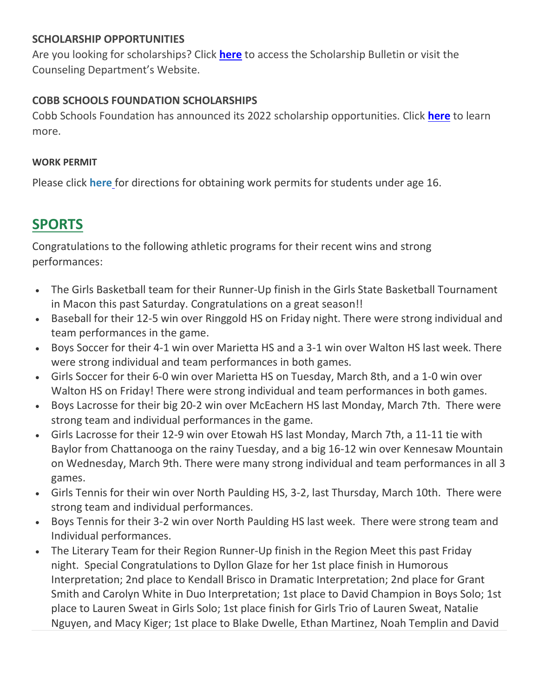### **SCHOLARSHIP OPPORTUNITIES**

Are you looking for scholarships? Click **[here](http://url503.cobbk12.org/ls/click?upn=lifxRKNE4qaF4JWLXkbAsjh7ycX9GyI4V6qRbFFivNpp-2B3syQ-2BF1CRoHOrZqfnEtQcfUXEzQ4WYketaNTGV3408V8zS1UaS9Mdiay1YDYqUko-2F7m3YIEbQY7FNUfHqgboWCU-2FMo4nH5Qc0ll4-2Ba3ag-3D-3Dxi6f_W-2BfLYUoUwwI1tuGClKRhhPOSepcZIFoXnUIMjiA717kQ1i13BNQTwwJ9cl-2BWArXr6-2FDxoCbNFrRaplJKtN7fZ7CCRNki7tp8K6o4TXVsoHx6jfUIPWUPwMNHU-2FPC95LRFiPdkXhyjE39eZ8LpbjlYoSJsDKCfwyF2FvhxtifKFpI1FSfFP9AdRBYspVwnUmMKu2JgpPQ7U3yf35cdcelA00CUlOh4lw6FSu1QnI41rhkbLwE-2BC0EBQUyRg2MyktGjCk9-2BYgL3EuESE70d3QUzA-3D-3D)** to access the Scholarship Bulletin or visit the Counseling Department's Website.

### **COBB SCHOOLS FOUNDATION SCHOLARSHIPS**

Cobb Schools Foundation has announced its 2022 scholarship opportunities. Click **[here](http://url503.cobbk12.org/ls/click?upn=HU5K2q0Fz5ADTGboxPzOzV-2FXL0qE7BYVJk79MoYchrZ-2Ff-2FOdLvmkCHlDRa-2FCfR6GepNJjwsIv88e3tF9oGpulEhReEsKb-2B1hUFN2zj3kSymz22WtzalPFI4Qcc1cUyvSC6qG_W-2BfLYUoUwwI1tuGClKRhhPOSepcZIFoXnUIMjiA717kQ1i13BNQTwwJ9cl-2BWArXr6-2FDxoCbNFrRaplJKtN7fZ7CCRNki7tp8K6o4TXVsoHx6jfUIPWUPwMNHU-2FPC95LRG6Q08XOKIZ1AN-2BKtBbJo05uamGPxewrvACCDixnuc7jdLJaOiraU152Y0ZZNb-2Bh2HHCltOJXLV9k-2FnYahqyAKMxHbq-2FSJJ4Zvd6-2FBiAiLa-2BbJ0wznPeB6dXzdqfGg-2FYrtA7yNpUJzdJjlD0L3Epikg-3D-3D)** to learn more.

#### **WORK PERMIT**

Please click **here** [f](http://url503.cobbk12.org/ls/click?upn=HU5K2q0Fz5ADTGboxPzOzV-2FXL0qE7BYVJk79MoYchragV5467tisWoPAB9agzSUHDsbqBYccGjiUhV-2FDTHAbpfQ3tb3XltUDiEnSOWDrZrU-3DzXvE_W-2BfLYUoUwwI1tuGClKRhhPOSepcZIFoXnUIMjiA717kQ1i13BNQTwwJ9cl-2BWArXr6-2FDxoCbNFrRaplJKtN7fZ7CCRNki7tp8K6o4TXVsoHx6jfUIPWUPwMNHU-2FPC95LRTn5b4UNN8cJfEXIySlshTd803mITK9-2BOLBbEWZZThijYa7-2FXaA5RQB-2BDk1wxesCzWTFlMQoUjiWteLpdusFdflMa6EXGLsoGNJqmw7sTF2-2BeQdGqX1sUKSrq-2BAlLBP99D8bFj6TnOckLhbw0kMfiDQ-3D-3D)or directions for obtaining work permits for students under age 16.

# **SPORTS**

Congratulations to the following athletic programs for their recent wins and strong performances:

- The Girls Basketball team for their Runner-Up finish in the Girls State Basketball Tournament in Macon this past Saturday. Congratulations on a great season!!
- Baseball for their 12-5 win over Ringgold HS on Friday night. There were strong individual and team performances in the game.
- Boys Soccer for their 4-1 win over Marietta HS and a 3-1 win over Walton HS last week. There were strong individual and team performances in both games.
- Girls Soccer for their 6-0 win over Marietta HS on Tuesday, March 8th, and a 1-0 win over Walton HS on Friday! There were strong individual and team performances in both games.
- Boys Lacrosse for their big 20-2 win over McEachern HS last Monday, March 7th. There were strong team and individual performances in the game.
- Girls Lacrosse for their 12-9 win over Etowah HS last Monday, March 7th, a 11-11 tie with Baylor from Chattanooga on the rainy Tuesday, and a big 16-12 win over Kennesaw Mountain on Wednesday, March 9th. There were many strong individual and team performances in all 3 games.
- Girls Tennis for their win over North Paulding HS, 3-2, last Thursday, March 10th. There were strong team and individual performances.
- Boys Tennis for their 3-2 win over North Paulding HS last week. There were strong team and Individual performances.
- The Literary Team for their Region Runner-Up finish in the Region Meet this past Friday night. Special Congratulations to Dyllon Glaze for her 1st place finish in Humorous Interpretation; 2nd place to Kendall Brisco in Dramatic Interpretation; 2nd place for Grant Smith and Carolyn White in Duo Interpretation; 1st place to David Champion in Boys Solo; 1st place to Lauren Sweat in Girls Solo; 1st place finish for Girls Trio of Lauren Sweat, Natalie Nguyen, and Macy Kiger; 1st place to Blake Dwelle, Ethan Martinez, Noah Templin and David